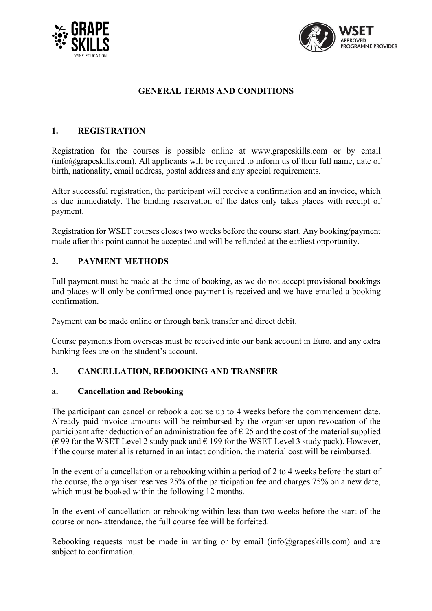



# **GENERAL TERMS AND CONDITIONS**

## **1. REGISTRATION**

Registration for the courses is possible online at www.grapeskills.com or by email (info@grapeskills.com). All applicants will be required to inform us of their full name, date of birth, nationality, email address, postal address and any special requirements.

After successful registration, the participant will receive a confirmation and an invoice, which is due immediately. The binding reservation of the dates only takes places with receipt of payment.

Registration for WSET courses closes two weeks before the course start. Any booking/payment made after this point cannot be accepted and will be refunded at the earliest opportunity.

## **2. PAYMENT METHODS**

Full payment must be made at the time of booking, as we do not accept provisional bookings and places will only be confirmed once payment is received and we have emailed a booking confirmation.

Payment can be made online or through bank transfer and direct debit.

Course payments from overseas must be received into our bank account in Euro, and any extra banking fees are on the student's account.

## **3. CANCELLATION, REBOOKING AND TRANSFER**

## **a. Cancellation and Rebooking**

The participant can cancel or rebook a course up to 4 weeks before the commencement date. Already paid invoice amounts will be reimbursed by the organiser upon revocation of the participant after deduction of an administration fee of  $\epsilon$  25 and the cost of the material supplied (€ 99 for the WSET Level 2 study pack and  $€$  199 for the WSET Level 3 study pack). However, if the course material is returned in an intact condition, the material cost will be reimbursed.

In the event of a cancellation or a rebooking within a period of 2 to 4 weeks before the start of the course, the organiser reserves 25% of the participation fee and charges 75% on a new date, which must be booked within the following 12 months.

In the event of cancellation or rebooking within less than two weeks before the start of the course or non- attendance, the full course fee will be forfeited.

Rebooking requests must be made in writing or by email (info@grapeskills.com) and are subject to confirmation.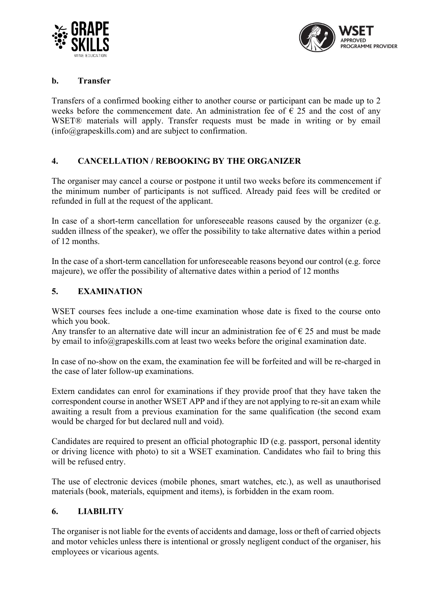



### **b. Transfer**

Transfers of a confirmed booking either to another course or participant can be made up to 2 weeks before the commencement date. An administration fee of  $\epsilon$  25 and the cost of any WSET® materials will apply. Transfer requests must be made in writing or by email (info@grapeskills.com) and are subject to confirmation.

## **4. CANCELLATION / REBOOKING BY THE ORGANIZER**

The organiser may cancel a course or postpone it until two weeks before its commencement if the minimum number of participants is not sufficed. Already paid fees will be credited or refunded in full at the request of the applicant.

In case of a short-term cancellation for unforeseeable reasons caused by the organizer (e.g. sudden illness of the speaker), we offer the possibility to take alternative dates within a period of 12 months.

In the case of a short-term cancellation for unforeseeable reasons beyond our control (e.g. force majeure), we offer the possibility of alternative dates within a period of 12 months

#### **5. EXAMINATION**

WSET courses fees include a one-time examination whose date is fixed to the course onto which you book.

Any transfer to an alternative date will incur an administration fee of  $\epsilon$  25 and must be made by email to info@grapeskills.com at least two weeks before the original examination date.

In case of no-show on the exam, the examination fee will be forfeited and will be re-charged in the case of later follow-up examinations.

Extern candidates can enrol for examinations if they provide proof that they have taken the correspondent course in another WSET APP and if they are not applying to re-sit an exam while awaiting a result from a previous examination for the same qualification (the second exam would be charged for but declared null and void).

Candidates are required to present an official photographic ID (e.g. passport, personal identity or driving licence with photo) to sit a WSET examination. Candidates who fail to bring this will be refused entry.

The use of electronic devices (mobile phones, smart watches, etc.), as well as unauthorised materials (book, materials, equipment and items), is forbidden in the exam room.

#### **6. LIABILITY**

The organiser is not liable for the events of accidents and damage, loss or theft of carried objects and motor vehicles unless there is intentional or grossly negligent conduct of the organiser, his employees or vicarious agents.